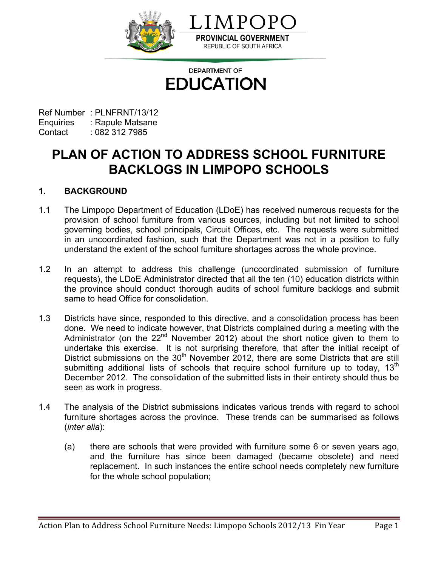

**DEPARTMENT OF EDUCATION** 

Ref Number : PLNFRNT/13/12 Enquiries : Rapule Matsane Contact : 082 312 7985

**PLAN OF ACTION TO ADDRESS SCHOOL FURNITURE BACKLOGS IN LIMPOPO SCHOOLS**

# **1. BACKGROUND**

- 1.1 The Limpopo Department of Education (LDoE) has received numerous requests for the provision of school furniture from various sources, including but not limited to school governing bodies, school principals, Circuit Offices, etc. The requests were submitted in an uncoordinated fashion, such that the Department was not in a position to fully understand the extent of the school furniture shortages across the whole province.
- 1.2 In an attempt to address this challenge (uncoordinated submission of furniture requests), the LDoE Administrator directed that all the ten (10) education districts within the province should conduct thorough audits of school furniture backlogs and submit same to head Office for consolidation.
- 1.3 Districts have since, responded to this directive, and a consolidation process has been done. We need to indicate however, that Districts complained during a meeting with the Administrator (on the 22<sup>nd</sup> November 2012) about the short notice given to them to undertake this exercise. It is not surprising therefore, that after the initial receipt of District submissions on the  $30<sup>th</sup>$  November 2012, there are some Districts that are still submitting additional lists of schools that require school furniture up to today,  $13<sup>th</sup>$ December 2012. The consolidation of the submitted lists in their entirety should thus be seen as work in progress.
- 1.4 The analysis of the District submissions indicates various trends with regard to school furniture shortages across the province. These trends can be summarised as follows (*inter alia*):
	- (a) there are schools that were provided with furniture some 6 or seven years ago, and the furniture has since been damaged (became obsolete) and need replacement. In such instances the entire school needs completely new furniture for the whole school population;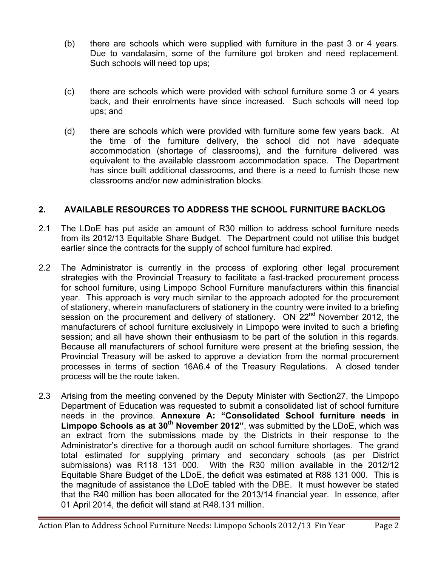- (b) there are schools which were supplied with furniture in the past 3 or 4 years. Due to vandalasim, some of the furniture got broken and need replacement. Such schools will need top ups;
- (c) there are schools which were provided with school furniture some 3 or 4 years back, and their enrolments have since increased. Such schools will need top ups; and
- (d) there are schools which were provided with furniture some few years back. At the time of the furniture delivery, the school did not have adequate accommodation (shortage of classrooms), and the furniture delivered was equivalent to the available classroom accommodation space. The Department has since built additional classrooms, and there is a need to furnish those new classrooms and/or new administration blocks.

# **2. AVAILABLE RESOURCES TO ADDRESS THE SCHOOL FURNITURE BACKLOG**

- 2.1 The LDoE has put aside an amount of R30 million to address school furniture needs from its 2012/13 Equitable Share Budget. The Department could not utilise this budget earlier since the contracts for the supply of school furniture had expired.
- 2.2 The Administrator is currently in the process of exploring other legal procurement strategies with the Provincial Treasury to facilitate a fast-tracked procurement process for school furniture, using Limpopo School Furniture manufacturers within this financial year. This approach is very much similar to the approach adopted for the procurement of stationery, wherein manufacturers of stationery in the country were invited to a briefing session on the procurement and delivery of stationery. ON 22<sup>nd</sup> November 2012, the manufacturers of school furniture exclusively in Limpopo were invited to such a briefing session; and all have shown their enthusiasm to be part of the solution in this regards. Because all manufacturers of school furniture were present at the briefing session, the Provincial Treasury will be asked to approve a deviation from the normal procurement processes in terms of section 16A6.4 of the Treasury Regulations. A closed tender process will be the route taken.
- 2.3 Arising from the meeting convened by the Deputy Minister with Section27, the Limpopo Department of Education was requested to submit a consolidated list of school furniture needs in the province. **Annexure A: "Consolidated School furniture needs in Limpopo Schools as at 30th November 2012"**, was submitted by the LDoE, which was an extract from the submissions made by the Districts in their response to the Administrator's directive for a thorough audit on school furniture shortages. The grand total estimated for supplying primary and secondary schools (as per District submissions) was R118 131 000. With the R30 million available in the 2012/12 Equitable Share Budget of the LDoE, the deficit was estimated at R88 131 000. This is the magnitude of assistance the LDoE tabled with the DBE. It must however be stated that the R40 million has been allocated for the 2013/14 financial year. In essence, after 01 April 2014, the deficit will stand at R48.131 million.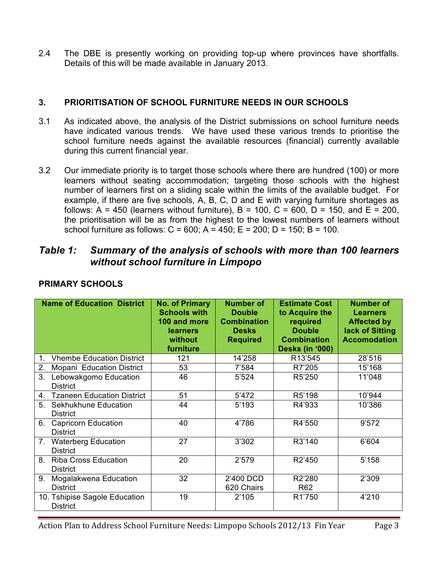2.4 The DBE is presently working on providing top-up where provinces have shortfalls. Details of this will be made available in January 2013.

## **3. PRIORITISATION OF SCHOOL FURNITURE NEEDS IN OUR SCHOOLS**

- 3.1 As indicated above, the analysis of the District submissions on school furniture needs have indicated various trends. We have used these various trends to prioritise the school furniture needs against the available resources (financial) currently available during this current financial year.
- 3.2 Our immediate priority is to target those schools where there are hundred (100) or more learners without seating accommodation; targeting those schools with the highest number of learners first on a sliding scale within the limits of the available budget. For example, if there are five schools, A, B, C, D and E with varying furniture shortages as follows: A = 450 (learners without furniture), B = 100, C = 600, D = 150, and E = 200, the prioritisation will be as from the highest to the lowest numbers of learners without school furniture as follows:  $C = 600$ ;  $A = 450$ ;  $E = 200$ ;  $D = 150$ ;  $B = 100$ .

# *Table 1: Summary of the analysis of schools with more than 100 learners without school furniture in Limpopo*

|         | <b>Name of Education District</b>                | <b>No. of Primary</b><br><b>Schools with</b><br>100 and more<br>learners<br>without<br>furniture | <b>Number of</b><br><b>Double</b><br><b>Combination</b><br><b>Desks</b><br><b>Required</b> | <b>Estimate Cost</b><br>to Acquire the<br>required<br><b>Double</b><br><b>Combination</b><br><b>Desks (in '000)</b> | <b>Number of</b><br><b>Learners</b><br><b>Affected by</b><br>lack of Sitting<br><b>Accomodation</b> |
|---------|--------------------------------------------------|--------------------------------------------------------------------------------------------------|--------------------------------------------------------------------------------------------|---------------------------------------------------------------------------------------------------------------------|-----------------------------------------------------------------------------------------------------|
| $1_{-}$ | <b>Vhembe Education District</b>                 | 121                                                                                              | 14'258                                                                                     | R13'545                                                                                                             | 28'516                                                                                              |
| 2.      | Mopani Education District                        | 53                                                                                               | 7'584                                                                                      | R7'205                                                                                                              | 15'168                                                                                              |
| 3.      | Lebowakgomo Education<br><b>District</b>         | 46                                                                                               | 5'524                                                                                      | R5'250                                                                                                              | 11'048                                                                                              |
| 4.      | <b>Tzaneen Education District</b>                | 51                                                                                               | 5'472                                                                                      | R5'198                                                                                                              | 10'944                                                                                              |
| 5.      | Sekhukhune Education<br><b>District</b>          | 44                                                                                               | 5'193                                                                                      | R4'933                                                                                                              | 10'386                                                                                              |
|         | 6. Capricorn Education<br><b>District</b>        | 40                                                                                               | 4'786                                                                                      | R4'550                                                                                                              | 9'572                                                                                               |
|         | 7. Waterberg Education<br><b>District</b>        | 27                                                                                               | 3'302                                                                                      | R3'140                                                                                                              | 6'604                                                                                               |
| 8.      | <b>Riba Cross Education</b><br><b>District</b>   | 20                                                                                               | 2'579                                                                                      | R2'450                                                                                                              | 5'158                                                                                               |
| 9.      | Mogalakwena Education<br><b>District</b>         | 32                                                                                               | 2'400 DCD<br>620 Chairs                                                                    | R2'280<br>R <sub>62</sub>                                                                                           | 2'309                                                                                               |
|         | 10. Tshipise Sagole Education<br><b>District</b> | 19                                                                                               | 2'105                                                                                      | R1'750                                                                                                              | 4'210                                                                                               |

## **PRIMARY SCHOOLS**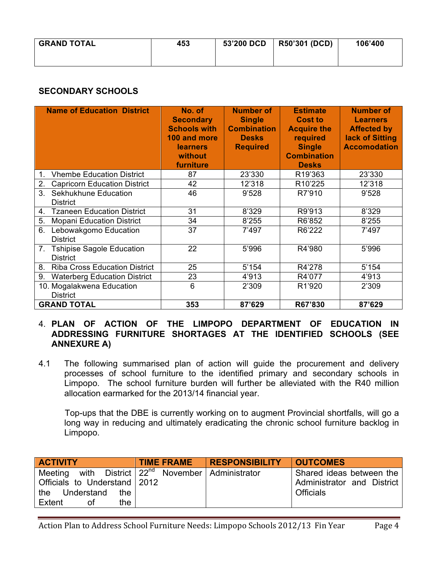| <b>GRAND TOTAL</b> | 453 | 53'200 DCD | <b>R50'301 (DCD)</b> | 106'400 |
|--------------------|-----|------------|----------------------|---------|
|                    |     |            |                      |         |

# **SECONDARY SCHOOLS**

| <b>Name of Education District</b>                         | No. of<br><b>Secondary</b><br><b>Schools with</b><br>100 and more<br>learners<br>without<br>furniture | <b>Number of</b><br><b>Single</b><br><b>Combination</b><br><b>Desks</b><br><b>Required</b> | <b>Estimate</b><br><b>Cost to</b><br><b>Acquire the</b><br>required<br><b>Single</b><br><b>Combination</b><br><b>Desks</b> | <b>Number of</b><br><b>Learners</b><br><b>Affected by</b><br>lack of Sitting<br><b>Accomodation</b> |
|-----------------------------------------------------------|-------------------------------------------------------------------------------------------------------|--------------------------------------------------------------------------------------------|----------------------------------------------------------------------------------------------------------------------------|-----------------------------------------------------------------------------------------------------|
| <b>Vhembe Education District</b><br>$1_{-}$               | 87                                                                                                    | 23'330                                                                                     | R19'363                                                                                                                    | 23'330                                                                                              |
| 2.<br><b>Capricorn Education District</b>                 | 42                                                                                                    | 12'318                                                                                     | R10'225                                                                                                                    | 12'318                                                                                              |
| 3 <sub>1</sub><br>Sekhukhune Education<br><b>District</b> | 46                                                                                                    | 9'528                                                                                      | R7'910                                                                                                                     | 9'528                                                                                               |
| <b>Tzaneen Education District</b><br>4.                   | 31                                                                                                    | 8'329                                                                                      | R9'913                                                                                                                     | 8'329                                                                                               |
| 5.<br><b>Mopani Education District</b>                    | 34                                                                                                    | 8'255                                                                                      | R6'852                                                                                                                     | 8'255                                                                                               |
| 6.<br>Lebowakgomo Education<br><b>District</b>            | 37                                                                                                    | 7'497                                                                                      | R6'222                                                                                                                     | 7'497                                                                                               |
| 7.<br><b>Tshipise Sagole Education</b><br><b>District</b> | 22                                                                                                    | 5'996                                                                                      | R4'980                                                                                                                     | 5'996                                                                                               |
| 8.<br><b>Riba Cross Education District</b>                | 25                                                                                                    | 5'154                                                                                      | R4'278                                                                                                                     | 5'154                                                                                               |
| 9.<br><b>Waterberg Education District</b>                 | 23                                                                                                    | 4'913                                                                                      | R4'077                                                                                                                     | 4'913                                                                                               |
| 10. Mogalakwena Education<br><b>District</b>              | 6                                                                                                     | 2'309                                                                                      | R1'920                                                                                                                     | 2'309                                                                                               |
| <b>GRAND TOTAL</b>                                        | 353                                                                                                   | 87'629                                                                                     | R67'830                                                                                                                    | 87'629                                                                                              |

## 4. **PLAN OF ACTION OF THE LIMPOPO DEPARTMENT OF EDUCATION IN ADDRESSING FURNITURE SHORTAGES AT THE IDENTIFIED SCHOOLS (SEE ANNEXURE A)**

4.1 The following summarised plan of action will guide the procurement and delivery processes of school furniture to the identified primary and secondary schools in Limpopo. The school furniture burden will further be alleviated with the R40 million allocation earmarked for the 2013/14 financial year.

 Top-ups that the DBE is currently working on to augment Provincial shortfalls, will go a long way in reducing and ultimately eradicating the chronic school furniture backlog in Limpopo.

| <b>ACTIVITY</b>              | <b>TIME FRAME</b>                                         | <b>RESPONSIBILITY</b> | <b>OUTCOMES</b>            |
|------------------------------|-----------------------------------------------------------|-----------------------|----------------------------|
| Meeting                      | with District   22 <sup>nd</sup> November   Administrator |                       | Shared ideas between the   |
| Officials to Understand 2012 |                                                           |                       | Administrator and District |
| the Understand<br>the        |                                                           |                       | <b>Officials</b>           |
| Extent<br>the<br>οf          |                                                           |                       |                            |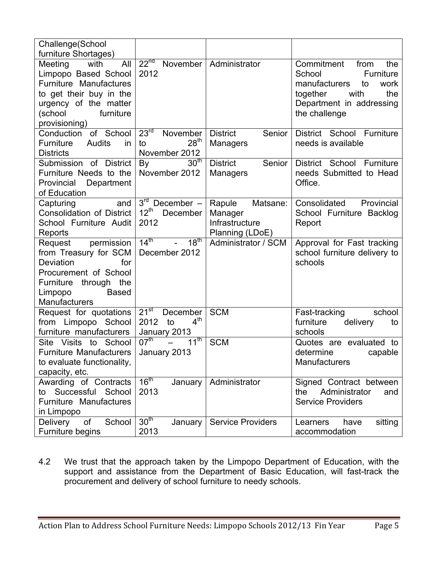| Challenge(School                                                                                                                                                           |                                                                        |                                                                    |                                                                                                                                                         |
|----------------------------------------------------------------------------------------------------------------------------------------------------------------------------|------------------------------------------------------------------------|--------------------------------------------------------------------|---------------------------------------------------------------------------------------------------------------------------------------------------------|
| furniture Shortages)                                                                                                                                                       |                                                                        |                                                                    |                                                                                                                                                         |
| with<br>Meeting<br>All<br>Limpopo Based School<br><b>Furniture Manufactures</b><br>to get their buy in the<br>urgency of the matter<br>(school<br>furniture                | 22 <sup>nd</sup><br>November<br>2012                                   | Administrator                                                      | Commitment<br>from<br>the<br>Furniture<br>School<br>manufacturers<br>work<br>to<br>the<br>together<br>with<br>Department in addressing<br>the challenge |
| provisioning)<br>of School<br>Conduction                                                                                                                                   | 23 <sup>rd</sup><br>November                                           | <b>District</b><br>Senior                                          | District School Furniture                                                                                                                               |
| Audits<br>Furniture<br><i>in</i><br><b>Districts</b>                                                                                                                       | 28 <sup>th</sup><br>to<br>November 2012                                | <b>Managers</b>                                                    | needs is available                                                                                                                                      |
| Submission of District<br>Furniture Needs to the<br>Department<br>Provincial<br>of Education                                                                               | 30 <sup>th</sup><br>By<br>November 2012                                | Senior<br><b>District</b><br>Managers                              | District School<br>Furniture<br>needs Submitted to Head<br>Office.                                                                                      |
| Capturing<br>and<br><b>Consolidation of District</b><br>School Furniture Audit<br>Reports                                                                                  | 3 <sup>rd</sup><br>December -<br>$12^{th}$<br>December<br>2012         | Matsane:<br>Rapule<br>Manager<br>Infrastructure<br>Planning (LDoE) | Consolidated<br>Provincial<br>School Furniture Backlog<br>Report                                                                                        |
| permission<br>Request<br>from Treasury for SCM<br>Deviation<br>for<br>Procurement of School<br>Furniture<br>through the<br><b>Based</b><br>Limpopo<br><b>Manufacturers</b> | 14 <sup>th</sup><br>18 <sup>th</sup><br>$\mathbf{r}$<br>December 2012  | Administrator / SCM                                                | Approval for Fast tracking<br>school furniture delivery to<br>schools                                                                                   |
| Request for quotations<br>from Limpopo School<br>furniture manufacturers                                                                                                   | $21^{st}$<br>December<br>4 <sup>th</sup><br>2012<br>to<br>January 2013 | <b>SCM</b>                                                         | school<br>Fast-tracking<br>furniture<br>delivery<br>to<br>schools                                                                                       |
| Visits<br>to School<br>Site<br><b>Furniture Manufacturers</b><br>to evaluate functionality,<br>capacity, etc.                                                              | $11^{\text{th}}$<br>$07^{\text{th}}$<br>January 2013                   | <b>SCM</b>                                                         | Quotes are evaluated to<br>determine<br>capable<br>Manufacturers                                                                                        |
| Awarding of Contracts<br>Successful School<br>to<br><b>Furniture Manufactures</b><br>in Limpopo                                                                            | 16 <sup>th</sup><br>January<br>2013                                    | Administrator                                                      | Signed Contract between<br>the<br>Administrator<br>and<br><b>Service Providers</b>                                                                      |
| of<br>School<br><b>Delivery</b>                                                                                                                                            | 30 <sup>th</sup>                                                       | <b>Service Providers</b>                                           |                                                                                                                                                         |

4.2 We trust that the approach taken by the Limpopo Department of Education, with the support and assistance from the Department of Basic Education, will fast-track the procurement and delivery of school furniture to needy schools.